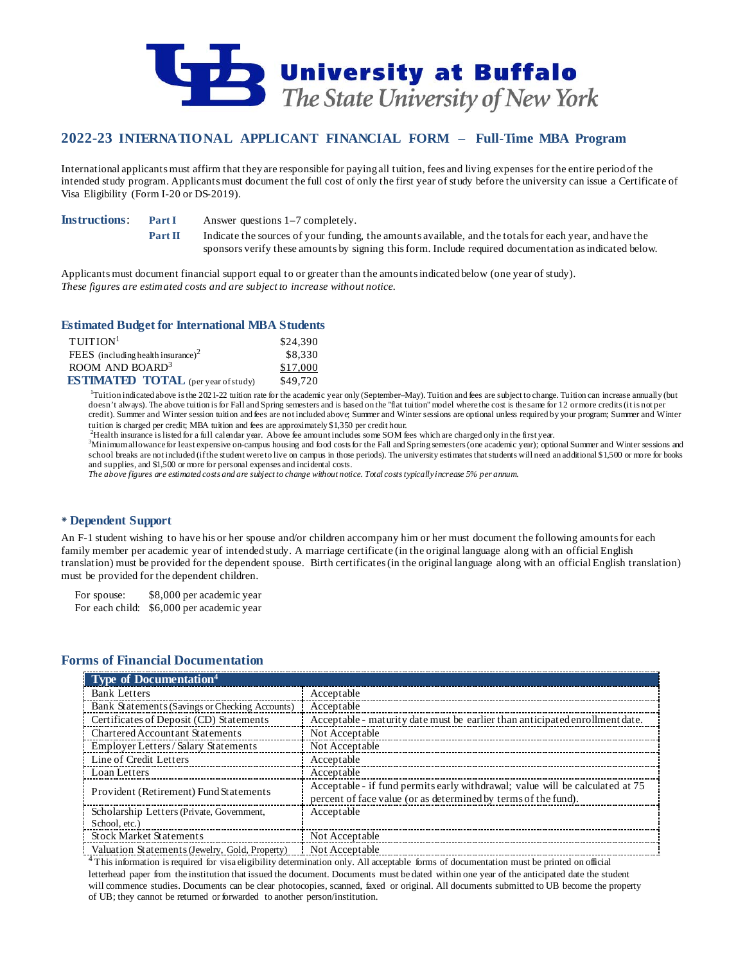

# **2022-23 INTERNATIONAL APPLICANT FINANCIAL FORM – Full-Time MBA Program**

International applicants must affirm that they are responsible for paying all tuition, fees and living expenses for the entire period of the intended study program. Applicants must document the full cost of only the first year of study before the university can issue a Certificate of Visa Eligibility (Form I-20 or DS-2019).

**Instructions: Part I** Answer questions 1–7 completely.

**Part II** Indicate the sources of your funding, the amounts available, and the totals for each year, and have the sponsors verify these amounts by signing this form. Include required documentation as indicated below.

Applicants must document financial support equal to or greater than the amounts indicated below (one year of study). *These figures are estimated costs and are subject to increase without notice.*

### **Estimated Budget for International MBA Students**

| $T$ UITION <sup>1</sup>                    | \$24,390 |
|--------------------------------------------|----------|
| FEES (including health insurance) $2$      | \$8,330  |
| ROOM AND BOARD <sup>3</sup>                | \$17,000 |
| <b>ESTIMATED TOTAL</b> (per year of study) | \$49,720 |

<sup>1</sup>Tuition indicated above is the 2021-22 tuition rate for the academic year only (September–May). Tuition and fees are subject to change. Tuition can increase annually (but doesn't always). The above tuition is for Fall and Spring semesters and is based on the "flat tuition" model where the cost is the same for 12 or more credits (it is not per credit). Summer and Winter session tuition and fees are not included above; Summer and Winter sessions are optional unless required by your program; Summer and Winter tuition is charged per credit; MBA tuition and fees are approximately \$1,350 per credit hour. <sup>2</sup>

 $^{2}$ Health insurance is listed for a full calendar year. Above fee amount includes some SOM fees which are charged only in the first year.

Minimum allowance for least expensive on-campus housing and food costs for the Fall and Spring semesters (one academic year); optional Summer and Winter sessions and school breaks are not included (if the student were to live on campus in those periods). The university estimates that students will need an additional \$1,500 or more for books and supplies, and \$1,500 or more for personal expenses and incidental costs.

*The above figures are estimated costs and are subject to change without notice. Total coststypically increase 5% per annum.*

### **Dependent Support**

An F-1 student wishing to have his or her spouse and/or children accompany him or her must document the following amounts for each family member per academic year of intended study. A marriage certificate (in the original language along with an official English translation) must be provided for the dependent spouse. Birth certificates (in the original language along with an official English translation) must be provided for the dependent children.

For spouse: \$8,000 per academic year For each child: \$6,000 per academic year

### **Forms of Financial Documentation**

| <b>Type of Documentation</b> <sup>4</sup>      |                                                                                                                                                 |
|------------------------------------------------|-------------------------------------------------------------------------------------------------------------------------------------------------|
| <b>Bank Letters</b>                            | Acceptable                                                                                                                                      |
| Bank Statements (Savings or Checking Accounts) | Acceptable                                                                                                                                      |
| Certificates of Deposit (CD) Statements        | Acceptable - maturity date must be earlier than anticipated enrollment date.                                                                    |
| <b>Chartered Accountant Statements</b>         | Not Acceptable                                                                                                                                  |
| Employer Letters/Salary Statements             | Not Acceptable                                                                                                                                  |
| Line of Credit Letters                         | Acceptable                                                                                                                                      |
| Loan Letters                                   | Acceptable                                                                                                                                      |
| Provident (Retirement) Fund Statements         | Acceptable - if fund permits early withdrawal; value will be calculated at 75<br>percent of face value (or as determined by terms of the fund). |
| Scholarship Letters (Private, Government,      | Acceptable                                                                                                                                      |
| School, etc.)                                  |                                                                                                                                                 |
| <b>Stock Market Statements</b>                 | Not Acceptable                                                                                                                                  |
| Valuation Statements (Jewelry, Gold, Property) | Not Acceptable                                                                                                                                  |

<sup>4</sup>This information is required for visa eligibility determination only. All acceptable forms of documentation must be printed on official letterhead paper from the institution that issued the document. Documents must be dated within one year of the anticipated date the student will commence studies. Documents can be clear photocopies, scanned, faxed or original. All documents submitted to UB become the property of UB; they cannot be returned or forwarded to another person/institution.